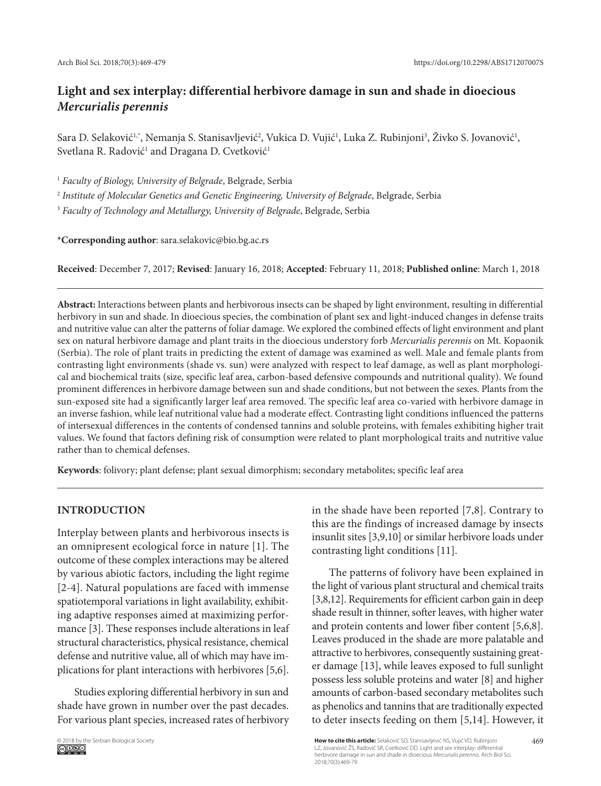# **Light and sex interplay: differential herbivore damage in sun and shade in dioecious**  *Mercurialis perennis*

Sara D. Selaković<sup>1,</sup>\*, Nemanja S. Stanisavljević<sup>2</sup>, Vukica D. Vujić<sup>1</sup>, Luka Z. Rubinjoni<sup>3</sup>, Živko S. Jovanović<sup>1</sup>, Svetlana R. Radović<sup>1</sup> and Dragana D. Cvetković<sup>1</sup>

<sup>1</sup> *Faculty of Biology, University of Belgrade*, Belgrade, Serbia

<sup>2</sup> *Institute of Molecular Genetics and Genetic Engineering, University of Belgrade*, Belgrade, Serbia

<sup>3</sup> *Faculty of Technology and Metallurgy, University of Belgrade*, Belgrade, Serbia

**\*Corresponding author**: sara.selakovic@bio.bg.ac.rs

**Received**: December 7, 2017; **Revised**: January 16, 2018; **Accepted**: February 11, 2018; **Published online**: March 1, 2018

**Abstract:** Interactions between plants and herbivorous insects can be shaped by light environment, resulting in differential herbivory in sun and shade. In dioecious species, the combination of plant sex and light-induced changes in defense traits and nutritive value can alter the patterns of foliar damage. We explored the combined effects of light environment and plant sex on natural herbivore damage and plant traits in the dioecious understory forb *Mercurialis perennis* on Mt. Kopaonik (Serbia). The role of plant traits in predicting the extent of damage was examined as well. Male and female plants from contrasting light environments (shade vs*.* sun) were analyzed with respect to leaf damage, as well as plant morphological and biochemical traits (size, specific leaf area, carbon-based defensive compounds and nutritional quality). We found prominent differences in herbivore damage between sun and shade conditions, but not between the sexes. Plants from the sun-exposed site had a significantly larger leaf area removed. The specific leaf area co-varied with herbivore damage in an inverse fashion, while leaf nutritional value had a moderate effect. Contrasting light conditions influenced the patterns of intersexual differences in the contents of condensed tannins and soluble proteins, with females exhibiting higher trait values. We found that factors defining risk of consumption were related to plant morphological traits and nutritive value rather than to chemical defenses.

**Keywords**: folivory; plant defense; plant sexual dimorphism; secondary metabolites; specific leaf area

# **INTRODUCTION**

Interplay between plants and herbivorous insects is an omnipresent ecological force in nature [1]. The outcome of these complex interactions may be altered by various abiotic factors, including the light regime [2-4]. Natural populations are faced with immense spatiotemporal variations in light availability, exhibiting adaptive responses aimed at maximizing performance [3]. These responses include alterations in leaf structural characteristics, physical resistance, chemical defense and nutritive value, all of which may have implications for plant interactions with herbivores [5,6].

Studies exploring differential herbivory in sun and shade have grown in number over the past decades. For various plant species, increased rates of herbivory in the shade have been reported [7,8]. Contrary to this are the findings of increased damage by insects insunlit sites [3,9,10] or similar herbivore loads under contrasting light conditions [11].

The patterns of folivory have been explained in the light of various plant structural and chemical traits [3,8,12]. Requirements for efficient carbon gain in deep shade result in thinner, softer leaves, with higher water and protein contents and lower fiber content [5,6,8]. Leaves produced in the shade are more palatable and attractive to herbivores, consequently sustaining greater damage [13], while leaves exposed to full sunlight possess less soluble proteins and water [8] and higher amounts of carbon-based secondary metabolites such as phenolics and tannins that are traditionally expected to deter insects feeding on them [5,14]. However, it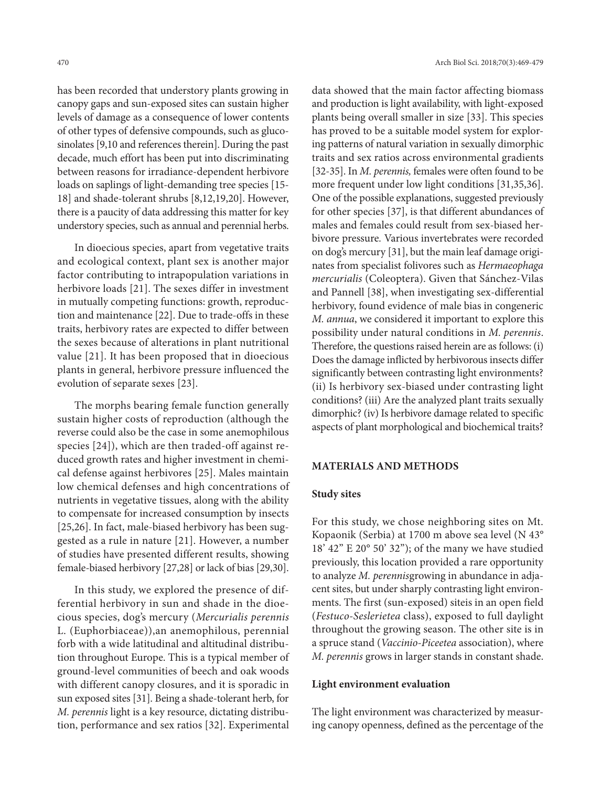has been recorded that understory plants growing in canopy gaps and sun-exposed sites can sustain higher levels of damage as a consequence of lower contents of other types of defensive compounds, such as glucosinolates [9,10 and references therein]. During the past decade, much effort has been put into discriminating between reasons for irradiance-dependent herbivore loads on saplings of light-demanding tree species [15- 18] and shade-tolerant shrubs [8,12,19,20]. However, there is a paucity of data addressing this matter for key understory species, such as annual and perennial herbs.

In dioecious species, apart from vegetative traits and ecological context, plant sex is another major factor contributing to intrapopulation variations in herbivore loads [21]. The sexes differ in investment in mutually competing functions: growth, reproduction and maintenance [22]. Due to trade-offs in these traits, herbivory rates are expected to differ between the sexes because of alterations in plant nutritional value [21]. It has been proposed that in dioecious plants in general, herbivore pressure influenced the evolution of separate sexes [23].

The morphs bearing female function generally sustain higher costs of reproduction (although the reverse could also be the case in some anemophilous species [24]), which are then traded-off against reduced growth rates and higher investment in chemical defense against herbivores [25]. Males maintain low chemical defenses and high concentrations of nutrients in vegetative tissues, along with the ability to compensate for increased consumption by insects [25,26]. In fact, male-biased herbivory has been suggested as a rule in nature [21]. However, a number of studies have presented different results, showing female-biased herbivory [27,28] or lack of bias [29,30].

In this study, we explored the presence of differential herbivory in sun and shade in the dioecious species, dog's mercury (*Mercurialis perennis*  L. (Euphorbiaceae)),an anemophilous, perennial forb with a wide latitudinal and altitudinal distribution throughout Europe. This is a typical member of ground-level communities of beech and oak woods with different canopy closures, and it is sporadic in sun exposed sites [31]. Being a shade-tolerant herb, for *M. perennis* light is a key resource, dictating distribution, performance and sex ratios [32]. Experimental

data showed that the main factor affecting biomass and production is light availability, with light-exposed plants being overall smaller in size [33]. This species has proved to be a suitable model system for exploring patterns of natural variation in sexually dimorphic traits and sex ratios across environmental gradients [32-35]. In *M. perennis,* females were often found to be more frequent under low light conditions [31,35,36]. One of the possible explanations, suggested previously for other species [37], is that different abundances of males and females could result from sex-biased herbivore pressure*.* Various invertebrates were recorded on dog's mercury [31], but the main leaf damage originates from specialist folivores such as *Hermaeophaga mercurialis* (Coleoptera). Given that Sánchez-Vilas and Pannell [38], when investigating sex-differential herbivory, found evidence of male bias in congeneric *M. annua*, we considered it important to explore this possibility under natural conditions in *M. perennis*. Therefore, the questions raised herein are as follows: (i) Does the damage inflicted by herbivorous insects differ significantly between contrasting light environments? (ii) Is herbivory sex-biased under contrasting light conditions? (iii) Are the analyzed plant traits sexually dimorphic? (iv) Is herbivore damage related to specific aspects of plant morphological and biochemical traits?

#### **MATERIALS AND METHODS**

### **Study sites**

For this study, we chose neighboring sites on Mt. Kopaonik (Serbia) at 1700 m above sea level (N 43° 18' 42" E 20° 50' 32"); of the many we have studied previously, this location provided a rare opportunity to analyze *M. perennis*growing in abundance in adjacent sites, but under sharply contrasting light environments. The first (sun-exposed) siteis in an open field (*Festuco-Seslerietea* class), exposed to full daylight throughout the growing season. The other site is in a spruce stand (*Vaccinio-Piceetea* association), where *M. perennis* grows in larger stands in constant shade.

### **Light environment evaluation**

The light environment was characterized by measuring canopy openness, defined as the percentage of the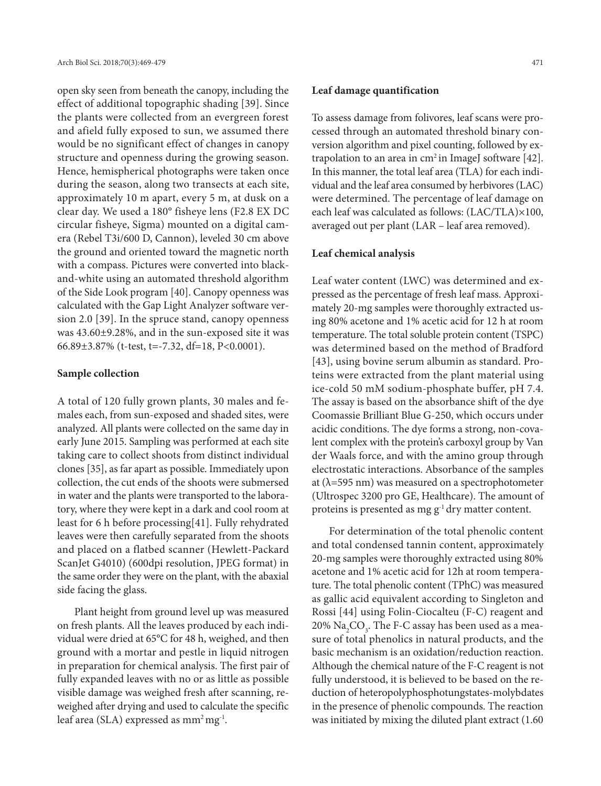open sky seen from beneath the canopy, including the effect of additional topographic shading [39]. Since the plants were collected from an evergreen forest and afield fully exposed to sun, we assumed there would be no significant effect of changes in canopy structure and openness during the growing season. Hence, hemispherical photographs were taken once during the season, along two transects at each site, approximately 10 m apart, every 5 m, at dusk on a clear day. We used a 180° fisheye lens (F2.8 EX DC circular fisheye, Sigma) mounted on a digital camera (Rebel T3i/600 D, Cannon), leveled 30 cm above the ground and oriented toward the magnetic north with a compass. Pictures were converted into blackand-white using an automated threshold algorithm of the Side Look program [40]. Canopy openness was calculated with the Gap Light Analyzer software version 2.0 [39]. In the spruce stand, canopy openness was 43.60±9.28%, and in the sun-exposed site it was 66.89±3.87% (t-test, t=-7.32, df=18, P<0.0001).

#### **Sample collection**

A total of 120 fully grown plants, 30 males and females each, from sun-exposed and shaded sites, were analyzed. All plants were collected on the same day in early June 2015. Sampling was performed at each site taking care to collect shoots from distinct individual clones [35], as far apart as possible. Immediately upon collection, the cut ends of the shoots were submersed in water and the plants were transported to the laboratory, where they were kept in a dark and cool room at least for 6 h before processing[41]. Fully rehydrated leaves were then carefully separated from the shoots and placed on a flatbed scanner (Hewlett-Packard ScanJet G4010) (600dpi resolution, JPEG format) in the same order they were on the plant, with the abaxial side facing the glass.

Plant height from ground level up was measured on fresh plants. All the leaves produced by each individual were dried at 65°C for 48 h, weighed, and then ground with a mortar and pestle in liquid nitrogen in preparation for chemical analysis. The first pair of fully expanded leaves with no or as little as possible visible damage was weighed fresh after scanning, reweighed after drying and used to calculate the specific leaf area (SLA) expressed as mm<sup>2</sup> mg<sup>-1</sup>.

### **Leaf damage quantification**

To assess damage from folivores, leaf scans were processed through an automated threshold binary conversion algorithm and pixel counting, followed by extrapolation to an area in  $cm<sup>2</sup>$  in ImageJ software [42]. In this manner, the total leaf area (TLA) for each individual and the leaf area consumed by herbivores (LAC) were determined. The percentage of leaf damage on each leaf was calculated as follows: (LAC/TLA)×100, averaged out per plant (LAR – leaf area removed).

#### **Leaf chemical analysis**

Leaf water content (LWC) was determined and expressed as the percentage of fresh leaf mass. Approximately 20-mg samples were thoroughly extracted using 80% acetone and 1% acetic acid for 12 h at room temperature. The total soluble protein content (TSPC) was determined based on the method of Bradford [43], using bovine serum albumin as standard. Proteins were extracted from the plant material using ice-cold 50 mM sodium-phosphate buffer, pH 7.4. The assay is based on the absorbance shift of the dye Coomassie Brilliant Blue G-250, which occurs under acidic conditions. The dye forms a strong, non-covalent complex with the protein's carboxyl group by Van der Waals force, and with the amino group through electrostatic interactions. Absorbance of the samples at  $(\lambda = 595 \text{ nm})$  was measured on a spectrophotometer (Ultrospec 3200 pro GE, Healthcare). The amount of proteins is presented as mg g<sup>-1</sup> dry matter content.

For determination of the total phenolic content and total condensed tannin content, approximately 20-mg samples were thoroughly extracted using 80% acetone and 1% acetic acid for 12h at room temperature. The total phenolic content (TPhC) was measured as gallic acid equivalent according to Singleton and Rossi [44] using Folin-Ciocalteu (F-C) reagent and 20%  $\rm Na_{2}CO_{3}$ . The F-C assay has been used as a measure of total phenolics in natural products, and the basic mechanism is an oxidation/reduction reaction. Although the chemical nature of the F-C reagent is not fully understood, it is believed to be based on the reduction of heteropolyphosphotungstates-molybdates in the presence of phenolic compounds. The reaction was initiated by mixing the diluted plant extract (1.60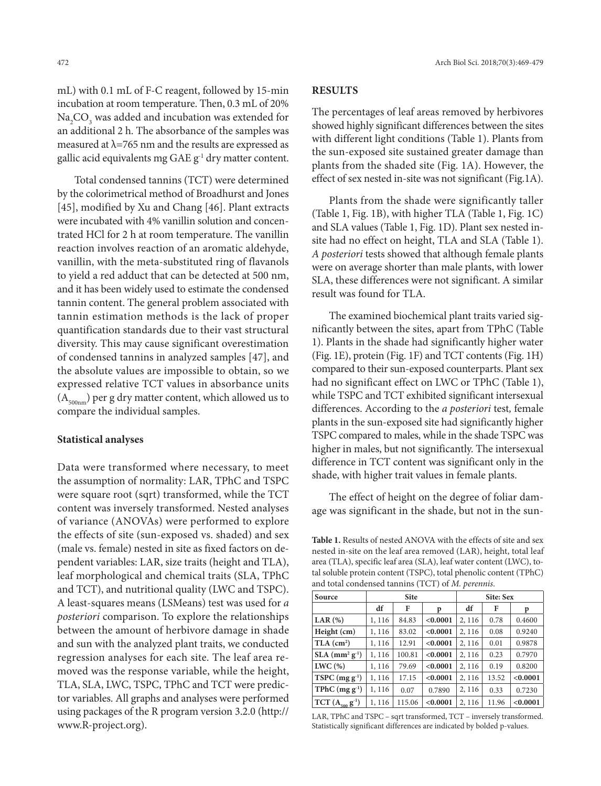mL) with 0.1 mL of F-C reagent, followed by 15-min incubation at room temperature. Then, 0.3 mL of 20%  $\mathrm{Na}_2\mathrm{CO}_3$  was added and incubation was extended for an additional 2 h. The absorbance of the samples was measured at  $\lambda$ =765 nm and the results are expressed as gallic acid equivalents mg GAE g-1 dry matter content.

Total condensed tannins (TCT) were determined by the colorimetrical method of Broadhurst and Jones [45], modified by Xu and Chang [46]. Plant extracts were incubated with 4% vanillin solution and concentrated HCl for 2 h at room temperature. The vanillin reaction involves reaction of an aromatic aldehyde, vanillin, with the meta-substituted ring of flavanols to yield a red adduct that can be detected at 500 nm, and it has been widely used to estimate the condensed tannin content. The general problem associated with tannin estimation methods is the lack of proper quantification standards due to their vast structural diversity. This may cause significant overestimation of condensed tannins in analyzed samples [47], and the absolute values are impossible to obtain, so we expressed relative TCT values in absorbance units  $(A_{500nm})$  per g dry matter content, which allowed us to compare the individual samples.

# **Statistical analyses**

Data were transformed where necessary, to meet the assumption of normality: LAR, TPhC and TSPC were square root (sqrt) transformed, while the TCT content was inversely transformed. Nested analyses of variance (ANOVAs) were performed to explore the effects of site (sun-exposed vs. shaded) and sex (male vs. female) nested in site as fixed factors on dependent variables: LAR, size traits (height and TLA), leaf morphological and chemical traits (SLA, TPhC and TCT), and nutritional quality (LWC and TSPC). A least-squares means (LSMeans) test was used for *a posteriori* comparison. To explore the relationships between the amount of herbivore damage in shade and sun with the analyzed plant traits, we conducted regression analyses for each site. The leaf area removed was the response variable, while the height, TLA, SLA, LWC, TSPC, TPhC and TCT were predictor variables. All graphs and analyses were performed using packages of the R program version 3.2.0 (http:// www.R-project.org).

### **RESULTS**

The percentages of leaf areas removed by herbivores showed highly significant differences between the sites with different light conditions (Table 1). Plants from the sun-exposed site sustained greater damage than plants from the shaded site (Fig. 1A). However, the effect of sex nested in-site was not significant (Fig.1A).

Plants from the shade were significantly taller (Table 1, Fig. 1B), with higher TLA (Table 1, Fig. 1C) and SLA values (Table 1, Fig. 1D). Plant sex nested insite had no effect on height, TLA and SLA (Table 1). *A posteriori* tests showed that although female plants were on average shorter than male plants, with lower SLA, these differences were not significant. A similar result was found for TLA.

The examined biochemical plant traits varied significantly between the sites, apart from TPhC (Table 1). Plants in the shade had significantly higher water (Fig. 1E), protein (Fig. 1F) and TCT contents (Fig. 1H) compared to their sun-exposed counterparts. Plant sex had no significant effect on LWC or TPhC (Table 1), while TSPC and TCT exhibited significant intersexual differences. According to the *a posteriori* test*,* female plants in the sun-exposed site had significantly higher TSPC compared to males, while in the shade TSPC was higher in males, but not significantly. The intersexual difference in TCT content was significant only in the shade, with higher trait values in female plants.

The effect of height on the degree of foliar damage was significant in the shade, but not in the sun-

**Table 1.** Results of nested ANOVA with the effects of site and sex nested in-site on the leaf area removed (LAR), height, total leaf area (TLA), specific leaf area (SLA), leaf water content (LWC), total soluble protein content (TSPC), total phenolic content (TPhC) and total condensed tannins (TCT) of *M. perennis*.

| Source                                   | <b>Site</b> |        |          | Site: Sex |       |          |
|------------------------------------------|-------------|--------|----------|-----------|-------|----------|
|                                          | df          | F      | p        | df        | F     | p        |
| LAR $(%)$                                | 1, 116      | 84.83  | < 0.0001 | 2, 116    | 0.78  | 0.4600   |
| Height (cm)                              | 1, 116      | 83.02  | < 0.0001 | 2, 116    | 0.08  | 0.9240   |
| TLA (cm <sup>2</sup> )                   | 1, 116      | 12.91  | < 0.0001 | 2, 116    | 0.01  | 0.9878   |
| $SLA$ (mm <sup>2</sup> g <sup>-1</sup> ) | 1,116       | 100.81 | < 0.0001 | 2, 116    | 0.23  | 0.7970   |
| LWC(%)                                   | 1,116       | 79.69  | < 0.0001 | 2, 116    | 0.19  | 0.8200   |
| $TSPC (mg g-1)$                          | 1,116       | 17.15  | < 0.0001 | 2, 116    | 13.52 | < 0.0001 |
| TPhC $(mg g^{-1})$                       | 1,116       | 0.07   | 0.7890   | 2, 116    | 0.33  | 0.7230   |
| $TCT (A_{500} g^{-1})$                   | 1,116       | 115.06 | < 0.0001 | 2, 116    | 11.96 | < 0.0001 |

LAR, TPhC and TSPC – sqrt transformed, TCT – inversely transformed. Statistically significant differences are indicated by bolded p-values.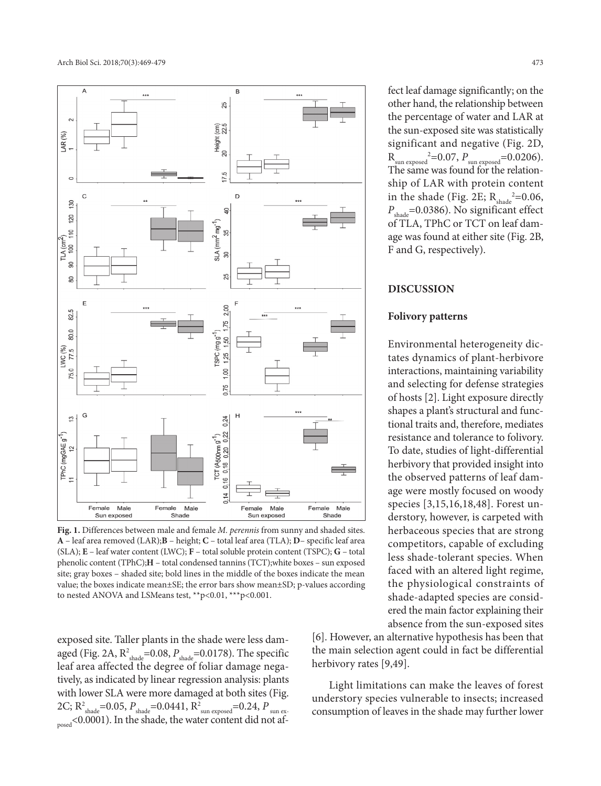

**Fig. 1.** Differences between male and female *M. perennis* from sunny and shaded sites. **A** – leaf area removed (LAR);**B** – height; **C** – total leaf area (TLA); **D**– specific leaf area (SLA); **E** – leaf water content (LWC); **F** – total soluble protein content (TSPC); **G** – total phenolic content (TPhC);**H** – total condensed tannins (TCT);white boxes – sun exposed site; gray boxes – shaded site; bold lines in the middle of the boxes indicate the mean value; the boxes indicate mean±SE; the error bars show mean±SD; p-values according to nested ANOVA and LSMeans test, \*\*p<0.01, \*\*\*p<0.001.

exposed site. Taller plants in the shade were less damaged (Fig. 2A, R<sup>2</sup><sub>shade</sub>=0.08, P<sub>shade</sub>=0.0178). The specific leaf area affected the degree of foliar damage negatively, as indicated by linear regression analysis: plants with lower SLA were more damaged at both sites (Fig. 2C; R<sup>2</sup><sub>shade</sub>=0.05, P<sub>shade</sub>=0.0441, R<sup>2</sup><sub>sun exposed</sub>=0.24, P<sub>sun ex-</sub> posed<0.0001). In the shade, the water content did not af-

fect leaf damage significantly; on the other hand, the relationship between the percentage of water and LAR at the sun-exposed site was statistically significant and negative (Fig. 2D,  $R_{sun\ exposed}^2 = 0.07$ ,  $P_{sun\ exposed} = 0.0206$ . The same was found for the relationship of LAR with protein content in the shade (Fig. 2E;  $R_{\text{shade}}^2 = 0.06$ , *P*<sub>shade</sub>=0.0386). No significant effect of TLA, TPhC or TCT on leaf damage was found at either site (Fig. 2B, F and G, respectively).

#### **DISCUSSION**

#### **Folivory patterns**

Environmental heterogeneity dictates dynamics of plant-herbivore interactions, maintaining variability and selecting for defense strategies of hosts [2]. Light exposure directly shapes a plant's structural and functional traits and, therefore, mediates resistance and tolerance to folivory. To date, studies of light-differential herbivory that provided insight into the observed patterns of leaf damage were mostly focused on woody species [3,15,16,18,48]. Forest understory, however, is carpeted with herbaceous species that are strong competitors, capable of excluding less shade-tolerant species. When faced with an altered light regime, the physiological constraints of shade-adapted species are considered the main factor explaining their absence from the sun-exposed sites

[6]. However, an alternative hypothesis has been that the main selection agent could in fact be differential herbivory rates [9,49].

Light limitations can make the leaves of forest understory species vulnerable to insects; increased consumption of leaves in the shade may further lower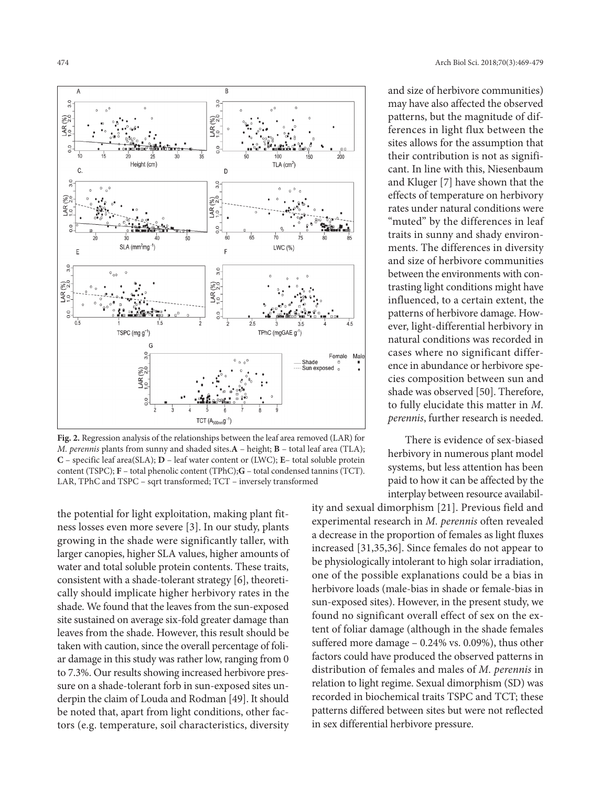

**Fig. 2.** Regression analysis of the relationships between the leaf area removed (LAR) for *M. perennis* plants from sunny and shaded sites.**A** – height; **B** – total leaf area (TLA); **C** – specific leaf area(SLA); **D** – leaf water content or (LWC); **E**– total soluble protein content (TSPC); **F** – total phenolic content (TPhC);**G** – total condensed tannins (TCT). LAR, TPhC and TSPC – sqrt transformed; TCT – inversely transformed

the potential for light exploitation, making plant fitness losses even more severe [3]. In our study, plants growing in the shade were significantly taller, with larger canopies, higher SLA values, higher amounts of water and total soluble protein contents. These traits, consistent with a shade-tolerant strategy [6], theoretically should implicate higher herbivory rates in the shade. We found that the leaves from the sun-exposed site sustained on average six-fold greater damage than leaves from the shade. However, this result should be taken with caution, since the overall percentage of foliar damage in this study was rather low, ranging from 0 to 7.3%. Our results showing increased herbivore pressure on a shade-tolerant forb in sun-exposed sites underpin the claim of Louda and Rodman [49]. It should be noted that, apart from light conditions, other factors (e.g. temperature, soil characteristics, diversity

and size of herbivore communities) may have also affected the observed patterns, but the magnitude of differences in light flux between the sites allows for the assumption that their contribution is not as significant. In line with this, Niesenbaum and Kluger [7] have shown that the effects of temperature on herbivory rates under natural conditions were "muted" by the differences in leaf traits in sunny and shady environments. The differences in diversity and size of herbivore communities between the environments with contrasting light conditions might have influenced, to a certain extent, the patterns of herbivore damage. However, light-differential herbivory in natural conditions was recorded in cases where no significant difference in abundance or herbivore species composition between sun and shade was observed [50]. Therefore, to fully elucidate this matter in *M. perennis*, further research is needed.

There is evidence of sex-biased herbivory in numerous plant model systems, but less attention has been paid to how it can be affected by the interplay between resource availabil-

ity and sexual dimorphism [21]. Previous field and experimental research in *M. perennis* often revealed a decrease in the proportion of females as light fluxes increased [31,35,36]. Since females do not appear to be physiologically intolerant to high solar irradiation, one of the possible explanations could be a bias in herbivore loads (male-bias in shade or female-bias in sun-exposed sites). However, in the present study, we found no significant overall effect of sex on the extent of foliar damage (although in the shade females suffered more damage – 0.24% vs. 0.09%), thus other factors could have produced the observed patterns in distribution of females and males of *M. perennis* in relation to light regime. Sexual dimorphism (SD) was recorded in biochemical traits TSPC and TCT; these patterns differed between sites but were not reflected in sex differential herbivore pressure.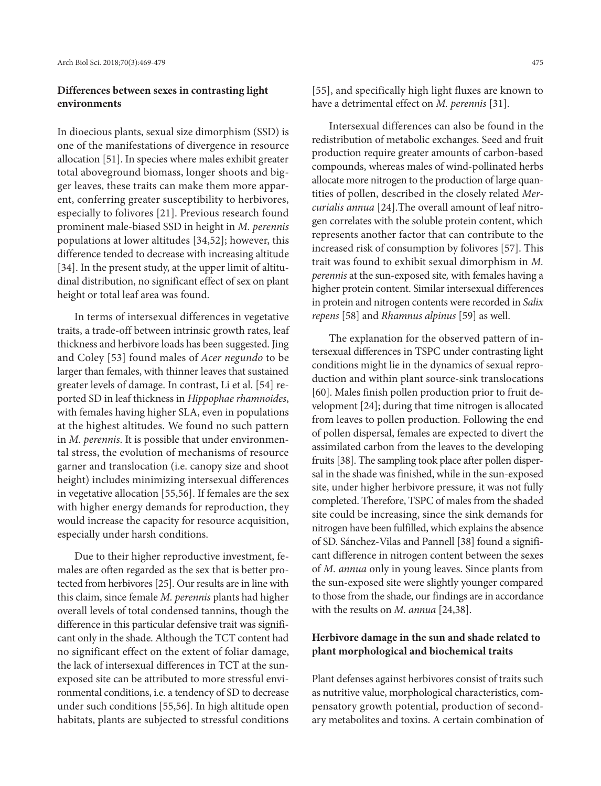# **Differences between sexes in contrasting light environments**

In dioecious plants, sexual size dimorphism (SSD) is one of the manifestations of divergence in resource allocation [51]. In species where males exhibit greater total aboveground biomass, longer shoots and bigger leaves, these traits can make them more apparent, conferring greater susceptibility to herbivores, especially to folivores [21]. Previous research found prominent male-biased SSD in height in *M. perennis*  populations at lower altitudes [34,52]; however, this difference tended to decrease with increasing altitude [34]. In the present study, at the upper limit of altitudinal distribution, no significant effect of sex on plant height or total leaf area was found.

In terms of intersexual differences in vegetative traits, a trade-off between intrinsic growth rates, leaf thickness and herbivore loads has been suggested. Jing and Coley [53] found males of *Acer negundo* to be larger than females, with thinner leaves that sustained greater levels of damage. In contrast, Li et al. [54] reported SD in leaf thickness in *Hippophae rhamnoides*, with females having higher SLA, even in populations at the highest altitudes. We found no such pattern in *M. perennis*. It is possible that under environmental stress, the evolution of mechanisms of resource garner and translocation (i.e. canopy size and shoot height) includes minimizing intersexual differences in vegetative allocation [55,56]. If females are the sex with higher energy demands for reproduction, they would increase the capacity for resource acquisition, especially under harsh conditions.

Due to their higher reproductive investment, females are often regarded as the sex that is better protected from herbivores [25]. Our results are in line with this claim, since female *M. perennis* plants had higher overall levels of total condensed tannins, though the difference in this particular defensive trait was significant only in the shade. Although the TCT content had no significant effect on the extent of foliar damage, the lack of intersexual differences in TCT at the sunexposed site can be attributed to more stressful environmental conditions, i.e. a tendency of SD to decrease under such conditions [55,56]. In high altitude open habitats, plants are subjected to stressful conditions

[55], and specifically high light fluxes are known to have a detrimental effect on *M. perennis* [31].

Intersexual differences can also be found in the redistribution of metabolic exchanges. Seed and fruit production require greater amounts of carbon-based compounds, whereas males of wind-pollinated herbs allocate more nitrogen to the production of large quantities of pollen, described in the closely related *Mercurialis annua* [24].The overall amount of leaf nitrogen correlates with the soluble protein content, which represents another factor that can contribute to the increased risk of consumption by folivores [57]. This trait was found to exhibit sexual dimorphism in *M. perennis* at the sun-exposed site*,* with females having a higher protein content. Similar intersexual differences in protein and nitrogen contents were recorded in *Salix repens* [58] and *Rhamnus alpinus* [59] as well.

The explanation for the observed pattern of intersexual differences in TSPC under contrasting light conditions might lie in the dynamics of sexual reproduction and within plant source-sink translocations [60]. Males finish pollen production prior to fruit development [24]; during that time nitrogen is allocated from leaves to pollen production. Following the end of pollen dispersal, females are expected to divert the assimilated carbon from the leaves to the developing fruits [38]. The sampling took place after pollen dispersal in the shade was finished, while in the sun-exposed site, under higher herbivore pressure, it was not fully completed. Therefore, TSPC of males from the shaded site could be increasing, since the sink demands for nitrogen have been fulfilled, which explains the absence of SD. Sánchez-Vilas and Pannell [38] found a significant difference in nitrogen content between the sexes of *M. annua* only in young leaves. Since plants from the sun-exposed site were slightly younger compared to those from the shade, our findings are in accordance with the results on *M. annua* [24,38].

# **Herbivore damage in the sun and shade related to plant morphological and biochemical traits**

Plant defenses against herbivores consist of traits such as nutritive value, morphological characteristics, compensatory growth potential, production of secondary metabolites and toxins. A certain combination of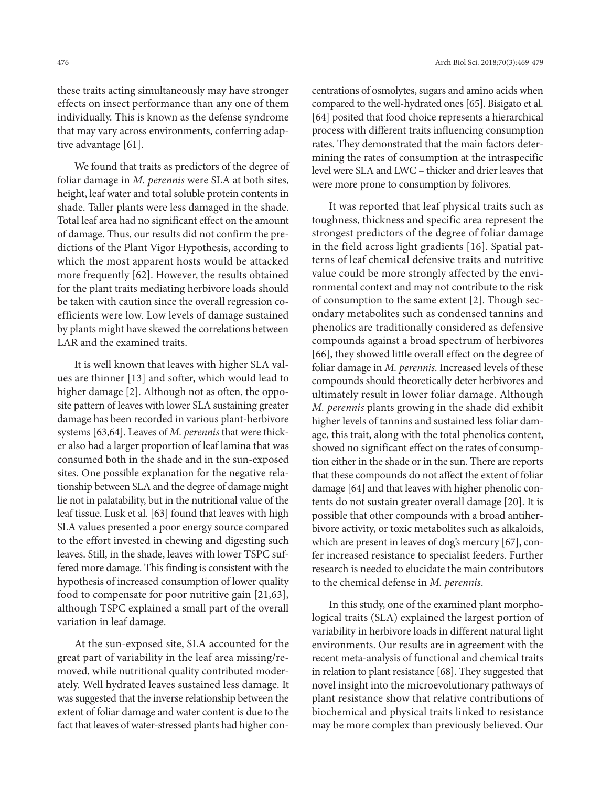these traits acting simultaneously may have stronger effects on insect performance than any one of them individually. This is known as the defense syndrome that may vary across environments, conferring adaptive advantage [61].

We found that traits as predictors of the degree of foliar damage in *M. perennis* were SLA at both sites, height, leaf water and total soluble protein contents in shade. Taller plants were less damaged in the shade. Total leaf area had no significant effect on the amount of damage. Thus, our results did not confirm the predictions of the Plant Vigor Hypothesis, according to which the most apparent hosts would be attacked more frequently [62]. However, the results obtained for the plant traits mediating herbivore loads should be taken with caution since the overall regression coefficients were low. Low levels of damage sustained by plants might have skewed the correlations between LAR and the examined traits.

It is well known that leaves with higher SLA values are thinner [13] and softer, which would lead to higher damage [2]. Although not as often, the opposite pattern of leaves with lower SLA sustaining greater damage has been recorded in various plant-herbivore systems [63,64]. Leaves of *M. perennis* that were thicker also had a larger proportion of leaf lamina that was consumed both in the shade and in the sun-exposed sites. One possible explanation for the negative relationship between SLA and the degree of damage might lie not in palatability, but in the nutritional value of the leaf tissue. Lusk et al. [63] found that leaves with high SLA values presented a poor energy source compared to the effort invested in chewing and digesting such leaves. Still, in the shade, leaves with lower TSPC suffered more damage. This finding is consistent with the hypothesis of increased consumption of lower quality food to compensate for poor nutritive gain [21,63], although TSPC explained a small part of the overall variation in leaf damage.

At the sun-exposed site, SLA accounted for the great part of variability in the leaf area missing/removed, while nutritional quality contributed moderately. Well hydrated leaves sustained less damage. It was suggested that the inverse relationship between the extent of foliar damage and water content is due to the fact that leaves of water-stressed plants had higher con-

centrations of osmolytes, sugars and amino acids when compared to the well-hydrated ones [65]. Bisigato et al. [64] posited that food choice represents a hierarchical process with different traits influencing consumption rates. They demonstrated that the main factors determining the rates of consumption at the intraspecific level were SLA and LWC – thicker and drier leaves that were more prone to consumption by folivores.

It was reported that leaf physical traits such as toughness, thickness and specific area represent the strongest predictors of the degree of foliar damage in the field across light gradients [16]. Spatial patterns of leaf chemical defensive traits and nutritive value could be more strongly affected by the environmental context and may not contribute to the risk of consumption to the same extent [2]. Though secondary metabolites such as condensed tannins and phenolics are traditionally considered as defensive compounds against a broad spectrum of herbivores [66], they showed little overall effect on the degree of foliar damage in *M. perennis*. Increased levels of these compounds should theoretically deter herbivores and ultimately result in lower foliar damage. Although *M. perennis* plants growing in the shade did exhibit higher levels of tannins and sustained less foliar damage, this trait, along with the total phenolics content, showed no significant effect on the rates of consumption either in the shade or in the sun. There are reports that these compounds do not affect the extent of foliar damage [64] and that leaves with higher phenolic contents do not sustain greater overall damage [20]. It is possible that other compounds with a broad antiherbivore activity, or toxic metabolites such as alkaloids, which are present in leaves of dog's mercury [67], confer increased resistance to specialist feeders. Further research is needed to elucidate the main contributors to the chemical defense in *M. perennis*.

In this study, one of the examined plant morphological traits (SLA) explained the largest portion of variability in herbivore loads in different natural light environments. Our results are in agreement with the recent meta-analysis of functional and chemical traits in relation to plant resistance [68]. They suggested that novel insight into the microevolutionary pathways of plant resistance show that relative contributions of biochemical and physical traits linked to resistance may be more complex than previously believed. Our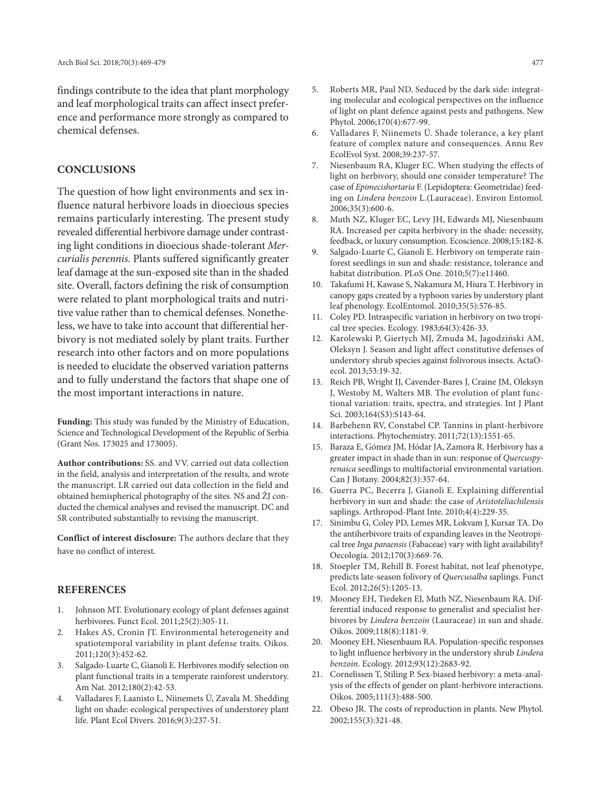findings contribute to the idea that plant morphology and leaf morphological traits can affect insect preference and performance more strongly as compared to chemical defenses.

### **CONCLUSIONS**

The question of how light environments and sex influence natural herbivore loads in dioecious species remains particularly interesting. The present study revealed differential herbivore damage under contrasting light conditions in dioecious shade-tolerant *Mercurialis perennis*. Plants suffered significantly greater leaf damage at the sun-exposed site than in the shaded site. Overall, factors defining the risk of consumption were related to plant morphological traits and nutritive value rather than to chemical defenses. Nonetheless, we have to take into account that differential herbivory is not mediated solely by plant traits. Further research into other factors and on more populations is needed to elucidate the observed variation patterns and to fully understand the factors that shape one of the most important interactions in nature.

**Funding:** This study was funded by the Ministry of Education, Science and Technological Development of the Republic of Serbia (Grant Nos. 173025 and 173005).

**Author contributions:** SS. and VV. carried out data collection in the field, analysis and interpretation of the results, and wrote the manuscript. LR carried out data collection in the field and obtained hemispherical photography of the sites. NS and ŽJ conducted the chemical analyses and revised the manuscript. DC and SR contributed substantially to revising the manuscript.

**Conflict of interest disclosure:** The authors declare that they have no conflict of interest.

### **REFERENCES**

- 1. Johnson MT. Evolutionary ecology of plant defenses against herbivores. Funct Ecol. 2011;25(2):305-11.
- 2. Hakes AS, Cronin JT. Environmental heterogeneity and spatiotemporal variability in plant defense traits. Oikos. 2011;120(3):452-62.
- 3. Salgado-Luarte C, Gianoli E. Herbivores modify selection on plant functional traits in a temperate rainforest understory. Am Nat. 2012;180(2):42-53.
- 4. Valladares F, Laanisto L, Niinemets Ü, Zavala M. Shedding light on shade: ecological perspectives of understorey plant life. Plant Ecol Divers. 2016;9(3):237-51.
- 5. Roberts MR, Paul ND. Seduced by the dark side: integrating molecular and ecological perspectives on the influence of light on plant defence against pests and pathogens. New Phytol. 2006;170(4):677-99.
- Valladares F, Niinemets Ü. Shade tolerance, a key plant feature of complex nature and consequences. Annu Rev EcolEvol Syst. 2008;39:237-57.
- 7. Niesenbaum RA, Kluger EC. When studying the effects of light on herbivory, should one consider temperature? The case of *Epimecishortaria* F. (Lepidoptera: Geometridae) feeding on *Lindera benzoin* L.(Lauraceae). Environ Entomol. 2006;35(3):600-6.
- 8. Muth NZ, Kluger EC, Levy JH, Edwards MJ, Niesenbaum RA. Increased per capita herbivory in the shade: necessity, feedback, or luxury consumption. Ecoscience. 2008;15:182-8.
- 9. Salgado-Luarte C, Gianoli E. Herbivory on temperate rainforest seedlings in sun and shade: resistance, tolerance and habitat distribution. PLoS One. 2010;5(7):e11460.
- 10. Takafumi H, Kawase S, Nakamura M, Hiura T. Herbivory in canopy gaps created by a typhoon varies by understory plant leaf phenology. EcolEntomol. 2010;35(5):576-85.
- 11. Coley PD. Intraspecific variation in herbivory on two tropical tree species. Ecology. 1983;64(3):426-33.
- 12. Karolewski P, Giertych MJ, Żmuda M, Jagodziński AM, Oleksyn J. Season and light affect constitutive defenses of understory shrub species against folivorous insects. ActaOecol. 2013;53:19-32.
- 13. Reich PB, Wright IJ, Cavender-Bares J, Craine JM, Oleksyn J, Westoby M, Walters MB. The evolution of plant functional variation: traits, spectra, and strategies. Int J Plant Sci. 2003;164(S3):S143-64.
- 14. Barbehenn RV, Constabel CP. Tannins in plant-herbivore interactions. Phytochemistry. 2011;72(13):1551-65.
- 15. Baraza E, Gómez JM, Hódar JA, Zamora R. Herbivory has a greater impact in shade than in sun: response of *Quercuspyrenaica* seedlings to multifactorial environmental variation. Can J Botany. 2004;82(3):357-64.
- 16. Guerra PC, Becerra J, Gianoli E. Explaining differential herbivory in sun and shade: the case of *Aristoteliachilensis* saplings. Arthropod-Plant Inte. 2010;4(4):229-35.
- 17. Sinimbu G, Coley PD, Lemes MR, Lokvam J, Kursar TA. Do the antiherbivore traits of expanding leaves in the Neotropical tree *Inga paraensis* (Fabaceae) vary with light availability? Oecologia. 2012;170(3):669-76.
- 18. Stoepler TM, Rehill B. Forest habitat, not leaf phenotype, predicts late-season folivory of *Quercusalba* saplings. Funct Ecol. 2012;26(5):1205-13.
- 19. Mooney EH, Tiedeken EJ, Muth NZ, Niesenbaum RA. Differential induced response to generalist and specialist herbivores by *Lindera benzoin* (Lauraceae) in sun and shade. Oikos. 2009;118(8):1181-9.
- 20. Mooney EH, Niesenbaum RA. Population-specific responses to light influence herbivory in the understory shrub *Lindera benzoin*. Ecology. 2012;93(12):2683-92.
- 21. Cornelissen T, Stiling P. Sex-biased herbivory: a meta-analysis of the effects of gender on plant-herbivore interactions. Oikos. 2005;111(3):488-500.
- 22. Obeso JR. The costs of reproduction in plants. New Phytol. 2002;155(3):321-48.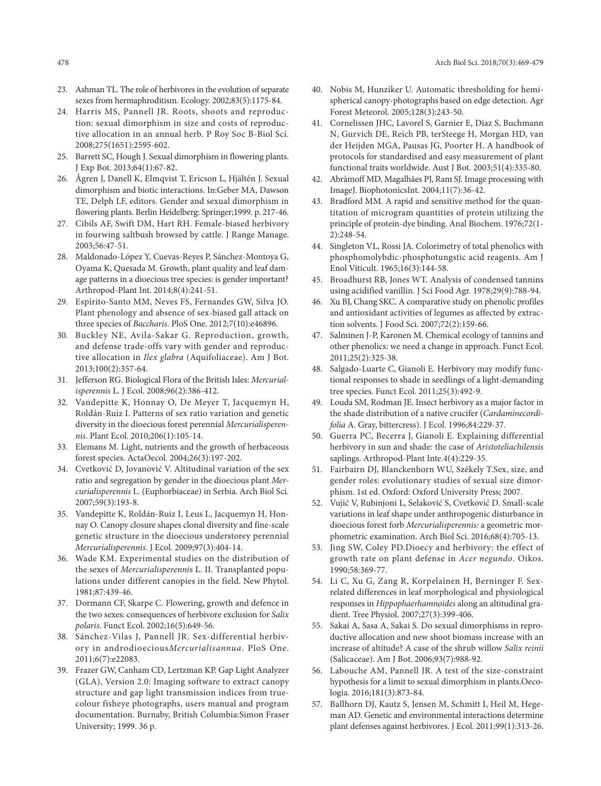- 23. Ashman TL. The role of herbivores in the evolution of separate sexes from hermaphroditism. Ecology. 2002;83(5):1175-84.
- 24. Harris MS, Pannell JR. Roots, shoots and reproduction: sexual dimorphism in size and costs of reproductive allocation in an annual herb. P Roy Soc B-Biol Sci. 2008;275(1651):2595-602.
- 25. Barrett SC, Hough J. Sexual dimorphism in flowering plants. J Exp Bot. 2013;64(1):67-82.
- 26. Ågren J, Danell K, Elmqvist T, Ericson L, Hjältén J. Sexual dimorphism and biotic interactions. In:Geber MA, Dawson TE, Delph LF, editors. Gender and sexual dimorphism in flowering plants. Berlin Heidelberg: Springer;1999. p. 217-46.
- 27. Cibils AF, Swift DM, Hart RH. Female-biased herbivory in fourwing saltbush browsed by cattle. J Range Manage. 2003;56:47-51.
- 28. Maldonado-López Y, Cuevas-Reyes P, Sánchez-Montoya G, Oyama K, Quesada M. Growth, plant quality and leaf damage patterns in a dioecious tree species: is gender important? Arthropod-Plant Int. 2014;8(4):241-51.
- 29. Espírito-Santo MM, Neves FS, Fernandes GW, Silva JO. Plant phenology and absence of sex-biased gall attack on three species of *Baccharis*. PloS One. 2012;7(10):e46896.
- 30. Buckley NE, Avila-Sakar G. Reproduction, growth, and defense trade-offs vary with gender and reproductive allocation in *Ilex glabra* (Aquifoliaceae). Am J Bot. 2013;100(2):357-64.
- 31. Jefferson RG. Biological Flora of the British Isles: *Mercurialisperennis* L. J Ecol. 2008;96(2):386-412.
- 32. Vandepitte K, Honnay O, De Meyer T, Jacquemyn H, Roldán-Ruiz I. Patterns of sex ratio variation and genetic diversity in the dioecious forest perennial *Mercurialisperennis*. Plant Ecol. 2010;206(1):105-14.
- 33. Elemans M. Light, nutrients and the growth of herbaceous forest species. ActaOecol. 2004;26(3):197-202.
- 34. Cvetković D, Jovanović V. Altitudinal variation of the sex ratio and segregation by gender in the dioecious plant *Mercurialisperennis* L. (Euphorbiaceae) in Serbia. Arch Biol Sci. 2007;59(3):193-8.
- 35. Vandepitte K, Roldán-Ruiz I, Leus L, Jacquemyn H, Honnay O. Canopy closure shapes clonal diversity and fine-scale genetic structure in the dioecious understorey perennial *Mercurialisperennis*. J Ecol. 2009;97(3):404-14.
- 36. Wade KM. Experimental studies on the distribution of the sexes of *Mercurialisperenni*s L. II. Transplanted populations under different canopies in the field. New Phytol. 1981;87:439-46.
- 37. Dormann CF, Skarpe C. Flowering, growth and defence in the two sexes: consequences of herbivore exclusion for *Salix polaris*. Funct Ecol. 2002;16(5):649-56.
- 38. Sánchez-Vilas J, Pannell JR. Sex-differential herbivory in androdioecious*Mercurialisannua*. PloS One. 2011;6(7):e22083.
- 39. Frazer GW, Canham CD, Lertzman KP. Gap Light Analyzer (GLA), Version 2.0: Imaging software to extract canopy structure and gap light transmission indices from truecolour fisheye photographs, users manual and program documentation. Burnaby, British Columbia:Simon Fraser University; 1999. 36 p.
- 40. Nobis M, Hunziker U. Automatic thresholding for hemispherical canopy-photographs based on edge detection. Agr Forest Meteorol. 2005;128(3):243-50.
- 41. Cornelissen JHC, Lavorel S, Garnier E, Diaz S, Buchmann N, Gurvich DE, Reich PB, terSteege H, Morgan HD, van der Heijden MGA, Pausas JG, Poorter H. A handbook of protocols for standardised and easy measurement of plant functional traits worldwide. Aust J Bot. 2003;51(4):335-80.
- 42. Abràmoff MD, Magalhães PJ, Ram SJ. Image processing with ImageJ. BiophotonicsInt. 2004;11(7):36-42.
- 43. Bradford MM. A rapid and sensitive method for the quantitation of microgram quantities of protein utilizing the principle of protein-dye binding. Anal Biochem. 1976;72(1- 2):248-54.
- 44. Singleton VL, Rossi JA. Colorimetry of total phenolics with phosphomolybdic-phosphotungstic acid reagents. Am J Enol Viticult. 1965;16(3):144-58.
- 45. Broadhurst RB, Jones WT. Analysis of condensed tannins using acidified vanillin. J Sci Food Agr. 1978;29(9):788-94.
- 46. Xu BJ, Chang SKC. A comparative study on phenolic profiles and antioxidant activities of legumes as affected by extraction solvents. J Food Sci. 2007;72(2):159-66.
- 47. Salminen J-P, Karonen M. Chemical ecology of tannins and other phenolics: we need a change in approach. Funct Ecol. 2011;25(2):325-38.
- 48. Salgado-Luarte C, Gianoli E. Herbivory may modify functional responses to shade in seedlings of a light-demanding tree species. Funct Ecol. 2011;25(3):492-9.
- 49. Louda SM, Rodman JE. Insect herbivory as a major factor in the shade distribution of a native crucifer (*Cardaminecordifolia* A. Gray, bittercress). J Ecol. 1996;84:229-37.
- 50. Guerra PC, Becerra J, Gianoli E. Explaining differential herbivory in sun and shade: the case of *Aristoteliachilensis* saplings. Arthropod-Plant Inte.4(4):229-35.
- 51. Fairbairn DJ, Blanckenhorn WU, Székely T.Sex, size, and gender roles: evolutionary studies of sexual size dimorphism. 1st ed. Oxford: Oxford University Press; 2007.
- 52. Vujić V, Rubinjoni L, Selaković S, Cvetković D. Small-scale variations in leaf shape under anthropogenic disturbance in dioecious forest forb *Mercurialisperennis:* a geometric morphometric examination. Arch Biol Sci. 2016;68(4):705-13.
- 53. Jing SW, Coley PD.Dioecy and herbivory: the effect of growth rate on plant defense in *Acer negundo*. Oikos. 1990;58:369-77.
- 54. Li C, Xu G, Zang R, Korpelainen H, Berninger F. Sexrelated differences in leaf morphological and physiological responses in *Hippophaerhamnoides* along an altitudinal gradient. Tree Physiol. 2007;27(3):399-406.
- 55. Sakai A, Sasa A, Sakai S. Do sexual dimorphisms in reproductive allocation and new shoot biomass increase with an increase of altitude? A case of the shrub willow *Salix reinii* (Salicaceae). Am J Bot. 2006;93(7):988-92.
- 56. Labouche AM, Pannell JR. A test of the size-constraint hypothesis for a limit to sexual dimorphism in plants.Oecologia. 2016;181(3):873-84.
- 57. Ballhorn DJ, Kautz S, Jensen M, Schmitt I, Heil M, Hegeman AD. Genetic and environmental interactions determine plant defenses against herbivores. J Ecol. 2011;99(1):313-26.